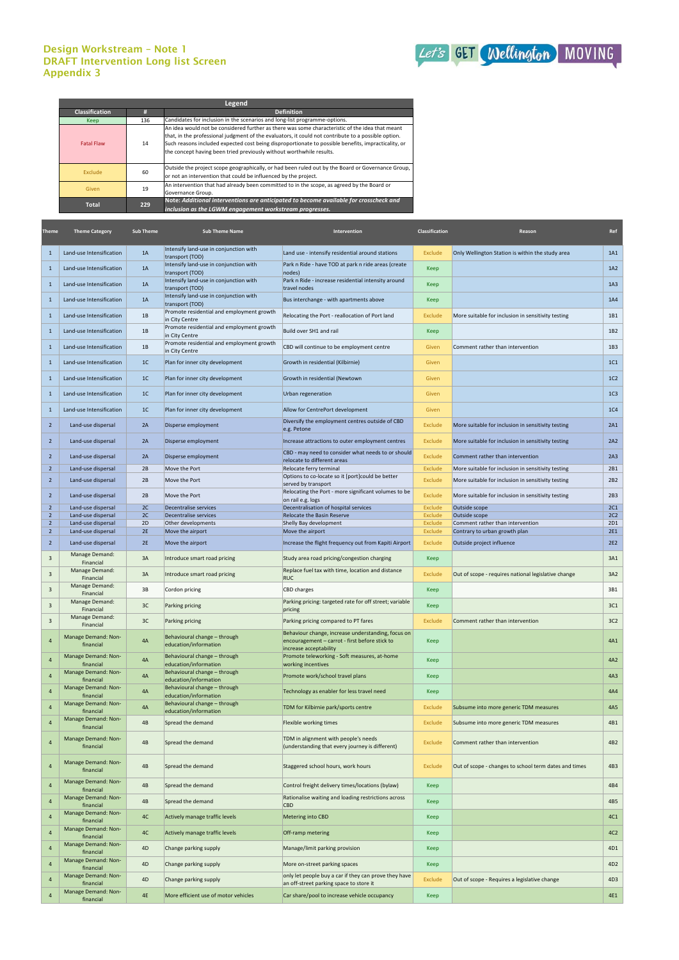## Design Workstream – Note 1 DRAFT Intervention Long list Screen Appendix 3



| Theme                         | <b>Theme Category</b>                    | <b>Sub Theme</b> | <b>Sub Theme Name</b>                                        | Intervention                                                                                     | <b>Classification</b> | Reason                                                | Ref             |
|-------------------------------|------------------------------------------|------------------|--------------------------------------------------------------|--------------------------------------------------------------------------------------------------|-----------------------|-------------------------------------------------------|-----------------|
| 1                             | Land-use Intensification                 | 1A               | Intensify land-use in conjunction with<br>transport (TOD)    | Land use - intensify residential around stations                                                 | Exclude               | Only Wellington Station is within the study area      | 1A1             |
| $\mathbf{1}$                  | Land-use Intensification                 | 1A               | Intensify land-use in conjunction with<br>transport (TOD)    | Park n Ride - have TOD at park n ride areas (create<br>nodes)                                    | Keep                  |                                                       | 1A2             |
| 1                             | Land-use Intensification                 | 1A               | Intensify land-use in conjunction with<br>transport (TOD)    | Park n Ride - increase residential intensity around<br>travel nodes                              | Keep                  |                                                       | 1A3             |
| $\mathbf{1}$                  | Land-use Intensification                 | 1A               | Intensify land-use in conjunction with                       | Bus interchange - with apartments above                                                          | <b>Keep</b>           |                                                       | 1A4             |
| $\mathbf{1}$                  | Land-use Intensification                 | 1B               | transport (TOD)<br>Promote residential and employment growth | Relocating the Port - reallocation of Port land                                                  | Exclude               | More suitable for inclusion in sensitivity testing    | 1B1             |
| 1                             | Land-use Intensification                 | 1B               | in City Centre<br>Promote residential and employment growth  | Build over SH1 and rail                                                                          | Keep                  |                                                       | 1B2             |
|                               |                                          |                  | in City Centre<br>Promote residential and employment growth  |                                                                                                  |                       |                                                       |                 |
| 1                             | Land-use Intensification                 | 1B               | in City Centre                                               | CBD will continue to be employment centre                                                        | Given                 | Comment rather than intervention                      | 1B3             |
| 1                             | Land-use Intensification                 | 1 <sup>C</sup>   | Plan for inner city development                              | Growth in residential (Kilbirnie)                                                                | Given                 |                                                       | 1C1             |
| 1                             | Land-use Intensification                 | 1 <sup>C</sup>   | Plan for inner city development                              | Growth in residential (Newtown                                                                   | Given                 |                                                       | 1C <sub>2</sub> |
| 1                             | Land-use Intensification                 | 1 <sup>C</sup>   | Plan for inner city development                              | Urban regeneration                                                                               | Given                 |                                                       | 1C <sub>3</sub> |
| 1                             | Land-use Intensification                 | 1C               | Plan for inner city development                              | Allow for CentrePort development                                                                 | Given                 |                                                       | 1C <sub>4</sub> |
| $\overline{2}$                | Land-use dispersal                       | 2A               | Disperse employment                                          | Diversify the employment centres outside of CBD<br>e.g. Petone                                   | Exclude               | More suitable for inclusion in sensitivity testing    | 2A1             |
| $\overline{2}$                | Land-use dispersal                       | 2A               | Disperse employment                                          | Increase attractions to outer employment centres                                                 | Exclude               | More suitable for inclusion in sensitivity testing    | 2A2             |
| $\overline{2}$                | Land-use dispersal                       | 2A               | Disperse employment                                          | CBD - may need to consider what needs to or should<br>relocate to different areas                | Exclude               | Comment rather than intervention                      | 2A3             |
| $2^{\circ}$                   | Land-use dispersal                       | 2B               | Move the Port                                                | Relocate ferry terminal                                                                          | <b>Exclude</b>        | More suitable for inclusion in sensitivity testing    | 2B1             |
| $\overline{2}$                | Land-use dispersal                       | 2B               | Move the Port                                                | Options to co-locate so it [port]could be better<br>served by transport                          | Exclude               | More suitable for inclusion in sensitivity testing    | 2B2             |
| $\overline{2}$                | Land-use dispersal                       | 2B               | Move the Port                                                | Relocating the Port - more significant volumes to be<br>on rail e.g. logs                        | Exclude               | More suitable for inclusion in sensitivity testing    | 2B3             |
| $\overline{2}$<br>$2^{\circ}$ | Land-use dispersal                       | 2C<br>2C         | Decentralise services<br>Decentralise services               | Decentralisation of hospital services<br><b>Relocate the Basin Reserve</b>                       | Exclude               | Outside scope                                         | 2C1<br>2C2      |
| $2^{\circ}$                   | Land-use dispersal<br>Land-use dispersal | 2D               | Other developments                                           | Shelly Bay development                                                                           | Exclude<br>Exclude    | Outside scope<br>Comment rather than intervention     | 2D1             |
| $2^{\circ}$                   | Land-use dispersal                       | 2E               | Move the airport                                             | Move the airport                                                                                 | Exclude               | Contrary to urban growth plan                         | <b>2E1</b>      |
| $2^{\circ}$                   | Land-use dispersal                       | 2E               | Move the airport                                             | Increase the flight frequency out from Kapiti Airport                                            | Exclude               | Outside project influence                             | 2E2             |
| 3                             | Manage Demand:                           | 3A               | Introduce smart road pricing                                 | Study area road pricing/congestion charging                                                      | Keep                  |                                                       | 3A1             |
| 3                             | Financial<br>Manage Demand:              | 3A               | Introduce smart road pricing                                 | Replace fuel tax with time, location and distance                                                | Exclude               | Out of scope - requires national legislative change   | 3A2             |
| 3                             | Financial<br>Manage Demand:              | 3B               | Cordon pricing                                               | <b>RUC</b><br><b>CBD</b> charges                                                                 | <b>Keep</b>           |                                                       | 3B1             |
| 3                             | Financial<br>Manage Demand:              | 3C               | Parking pricing                                              | Parking pricing: targeted rate for off street; variable                                          | Keep                  |                                                       | 3C1             |
| 3                             | Financial<br>Manage Demand:              | 3C               | Parking pricing                                              | pricing<br>Parking pricing compared to PT fares                                                  | Exclude               | Comment rather than intervention                      | 3C <sub>2</sub> |
|                               | Financial                                |                  |                                                              | Behaviour change, increase understanding, focus on                                               |                       |                                                       |                 |
| $\overline{4}$                | Manage Demand: Non-<br>financial         | 4A               | Behavioural change - through<br>education/information        | encouragement - carrot - first before stick to<br>increase acceptability                         | Keep                  |                                                       | 4A1             |
| $\overline{4}$                | Manage Demand: Non-<br>financial         | 4A               | Behavioural change - through<br>education/information        | Promote teleworking - Soft measures, at-home<br>working incentives                               | Keep                  |                                                       | 4A2             |
| $\overline{4}$                | Manage Demand: Non-<br>financial         | 4A               | Behavioural change - through<br>education/information        | Promote work/school travel plans                                                                 | Keep                  |                                                       | 4A3             |
| $\overline{4}$                | Manage Demand: Non-<br>financial         | 4A               | Behavioural change - through<br>education/information        | Technology as enabler for less travel need                                                       | Keep                  |                                                       | 4A4             |
| $\overline{4}$                | Manage Demand: Non-<br>financial         | 4A               | Behavioural change - through<br>education/information        | TDM for Kilbirnie park/sports centre                                                             | Exclude               | Subsume into more generic TDM measures                | 4A5             |
| $\overline{4}$                | Manage Demand: Non-<br>financial         | 4B               | Spread the demand                                            | Flexible working times                                                                           | Exclude               | Subsume into more generic TDM measures                | 4B1             |
| 4                             | Manage Demand: Non-<br>financial         | 4B               | Spread the demand                                            | TDM in alignment with people's needs<br>(understanding that every journey is different)          | Exclude               | Comment rather than intervention                      | 4B <sub>2</sub> |
| $\overline{4}$                | Manage Demand: Non-<br>financial         | 4B               | Spread the demand                                            | Staggered school hours, work hours                                                               | Exclude               | Out of scope - changes to school term dates and times | 4B3             |
| $\overline{4}$                | Manage Demand: Non-<br>financial         | 4B               | Spread the demand                                            | Control freight delivery times/locations (bylaw)                                                 | Keep                  |                                                       | 4B4             |
| 4                             | Manage Demand: Non-<br>financial         | 4B               | Spread the demand                                            | Rationalise waiting and loading restrictions across<br><b>CBD</b>                                | Keep                  |                                                       | 4B5             |
| $\overline{4}$                | Manage Demand: Non-<br>financial         | 4C               | Actively manage traffic levels                               | <b>Metering into CBD</b>                                                                         | <b>Keep</b>           |                                                       | 4C1             |
| 4                             | Manage Demand: Non-<br>financial         | 4C               | Actively manage traffic levels                               | Off-ramp metering                                                                                | Keep                  |                                                       | 4C <sub>2</sub> |
| $\overline{4}$                | Manage Demand: Non-<br>financial         | 4D               | Change parking supply                                        | Manage/limit parking provision                                                                   | Keep                  |                                                       | 4D1             |
| 4                             | Manage Demand: Non-<br>financial         | 4D               | Change parking supply                                        | More on-street parking spaces                                                                    | Keep                  |                                                       | 4D <sub>2</sub> |
| 4                             | Manage Demand: Non-<br>financial         | 4D               | Change parking supply                                        | only let people buy a car if they can prove they have<br>an off-street parking space to store it | Exclude               | Out of scope - Requires a legislative change          | 4D <sub>3</sub> |
|                               | Manage Demand: Non-<br>financial         | 4E               | More efficient use of motor vehicles                         | Car share/pool to increase vehicle occupancy                                                     | Keep                  |                                                       | 4E1             |

| Legend                |     |                                                                                                                                                                                                                                                                                                                                                                                       |  |  |  |  |
|-----------------------|-----|---------------------------------------------------------------------------------------------------------------------------------------------------------------------------------------------------------------------------------------------------------------------------------------------------------------------------------------------------------------------------------------|--|--|--|--|
| <b>Classification</b> | #   | <b>Definition</b>                                                                                                                                                                                                                                                                                                                                                                     |  |  |  |  |
| Keep                  | 136 | Candidates for inclusion in the scenarios and long-list programme-options.                                                                                                                                                                                                                                                                                                            |  |  |  |  |
| <b>Fatal Flaw</b>     | 14  | An idea would not be considered further as there was some characteristic of the idea that meant<br>that, in the professional judgment of the evaluators, it could not contribute to a possible option.<br>Such reasons included expected cost being disproportionate to possible benefits, impracticality, or<br>the concept having been tried previously without worthwhile results. |  |  |  |  |
| Exclude               | 60  | Outside the project scope geographically, or had been ruled out by the Board or Governance Group,<br>or not an intervention that could be influenced by the project.                                                                                                                                                                                                                  |  |  |  |  |
| Given                 | 19  | An intervention that had already been committed to in the scope, as agreed by the Board or<br>Governance Group.                                                                                                                                                                                                                                                                       |  |  |  |  |
| 229<br><b>Total</b>   |     | Note: Additional interventions are anticipated to become available for crosscheck and<br>inclusion as the LGWM engagement workstream progresses.                                                                                                                                                                                                                                      |  |  |  |  |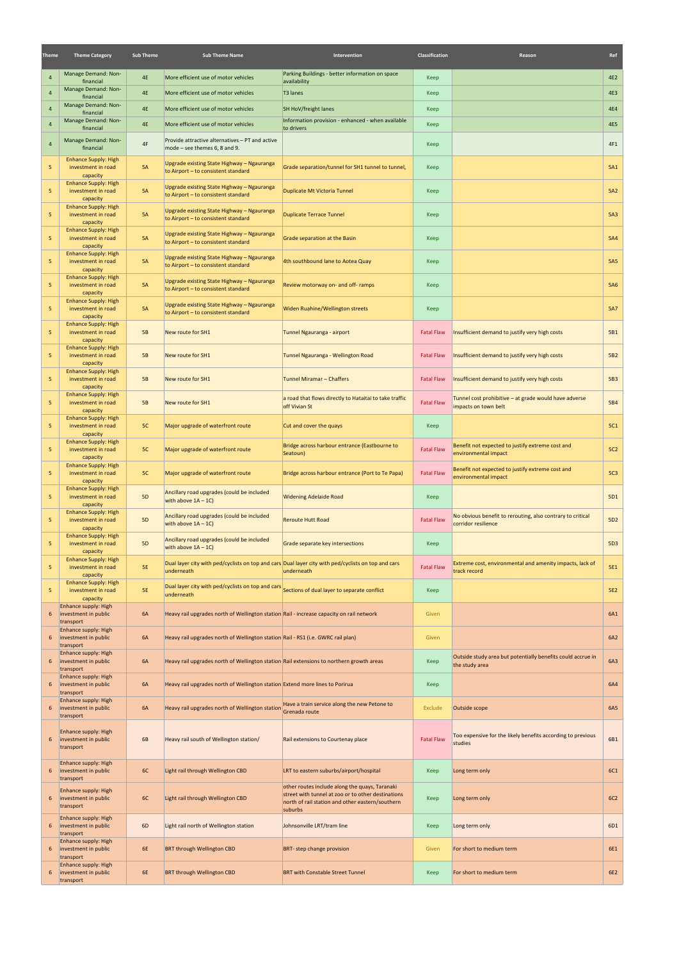| Theme          | <b>Theme Category</b>                                           | <b>Sub Theme</b> | <b>Sub Theme Name</b>                                                                                       | Intervention                                                                                                                                                        | <b>Classification</b> | Reason                                                                        | Ref             |
|----------------|-----------------------------------------------------------------|------------------|-------------------------------------------------------------------------------------------------------------|---------------------------------------------------------------------------------------------------------------------------------------------------------------------|-----------------------|-------------------------------------------------------------------------------|-----------------|
| 4              | Manage Demand: Non-<br>financial                                | <b>4E</b>        | More efficient use of motor vehicles                                                                        | Parking Buildings - better information on space<br>availability                                                                                                     | Keep                  |                                                                               | 4E2             |
| $\overline{4}$ | Manage Demand: Non-                                             | 4E               | More efficient use of motor vehicles                                                                        | T3 lanes                                                                                                                                                            | Keep                  |                                                                               | 4E3             |
| $\overline{4}$ | financial<br>Manage Demand: Non-                                | <b>4E</b>        | More efficient use of motor vehicles                                                                        | SH HoV/freight lanes                                                                                                                                                | Keep                  |                                                                               | <b>4E4</b>      |
| $\overline{4}$ | financial<br>Manage Demand: Non-                                | <b>4E</b>        | More efficient use of motor vehicles                                                                        | Information provision - enhanced - when available                                                                                                                   | Keep                  |                                                                               | <b>4E5</b>      |
|                | financial                                                       |                  |                                                                                                             | to drivers                                                                                                                                                          |                       |                                                                               |                 |
| $\overline{4}$ | Manage Demand: Non-<br>financial<br><b>Enhance Supply: High</b> | 4F               | Provide attractive alternatives - PT and active<br>mode $-$ see themes 6, 8 and 9.                          |                                                                                                                                                                     | Keep                  |                                                                               | 4F1             |
| 5              | investment in road<br>capacity                                  | 5A               | Upgrade existing State Highway - Ngauranga<br>to Airport - to consistent standard                           | Grade separation/tunnel for SH1 tunnel to tunnel,                                                                                                                   | Keep                  |                                                                               | 5A1             |
| 5              | <b>Enhance Supply: High</b><br>investment in road<br>capacity   | 5A               | Upgrade existing State Highway - Ngauranga<br>to Airport - to consistent standard                           | Duplicate Mt Victoria Tunnel                                                                                                                                        | Keep                  |                                                                               | 5A2             |
| 5              | <b>Enhance Supply: High</b><br>investment in road<br>capacity   | 5A               | Upgrade existing State Highway - Ngauranga<br>to Airport - to consistent standard                           | <b>Duplicate Terrace Tunnel</b>                                                                                                                                     | Keep                  |                                                                               | 5A3             |
| 5 <sub>1</sub> | <b>Enhance Supply: High</b><br>investment in road<br>capacity   | 5A               | Upgrade existing State Highway - Ngauranga<br>to Airport - to consistent standard                           | Grade separation at the Basin                                                                                                                                       | Keep                  |                                                                               | 5A4             |
| 5              | <b>Enhance Supply: High</b><br>investment in road<br>capacity   | 5A               | Upgrade existing State Highway - Ngauranga<br>to Airport - to consistent standard                           | 4th southbound lane to Aotea Quay                                                                                                                                   | Keep                  |                                                                               | 5A5             |
| 5              | <b>Enhance Supply: High</b><br>investment in road               | 5A               | Upgrade existing State Highway - Ngauranga<br>to Airport - to consistent standard                           | Review motorway on- and off-ramps                                                                                                                                   | Keep                  |                                                                               | <b>5A6</b>      |
| 5              | capacity<br><b>Enhance Supply: High</b><br>investment in road   | 5A               | Upgrade existing State Highway - Ngauranga<br>to Airport - to consistent standard                           | Widen Ruahine/Wellington streets                                                                                                                                    | Keep                  |                                                                               | <b>5A7</b>      |
| 5              | capacity<br><b>Enhance Supply: High</b><br>investment in road   | 5B               | New route for SH1                                                                                           | Tunnel Ngauranga - airport                                                                                                                                          | <b>Fatal Flaw</b>     | Insufficient demand to justify very high costs                                | <b>5B1</b>      |
| 5              | capacity<br><b>Enhance Supply: High</b><br>investment in road   | 5B               | New route for SH1                                                                                           | Tunnel Ngauranga - Wellington Road                                                                                                                                  | <b>Fatal Flaw</b>     | Insufficient demand to justify very high costs                                | 5B <sub>2</sub> |
| 5              | capacity<br><b>Enhance Supply: High</b><br>investment in road   | 5B               | New route for SH1                                                                                           | Tunnel Miramar - Chaffers                                                                                                                                           | <b>Fatal Flaw</b>     | Insufficient demand to justify very high costs                                | 5B3             |
| 5              | capacity<br><b>Enhance Supply: High</b><br>investment in road   | 5B               | New route for SH1                                                                                           | a road that flows directly to Hataitai to take traffic<br>off Vivian St                                                                                             | <b>Fatal Flaw</b>     | Tunnel cost prohibitive – at grade would have adverse<br>impacts on town belt | 5B4             |
| 5              | capacity<br><b>Enhance Supply: High</b><br>investment in road   | 5C               | Major upgrade of waterfront route                                                                           | Cut and cover the quays                                                                                                                                             | Keep                  |                                                                               | 5C1             |
| 5              | capacity<br><b>Enhance Supply: High</b><br>investment in road   | 5C               | Major upgrade of waterfront route                                                                           | Bridge across harbour entrance (Eastbourne to                                                                                                                       | <b>Fatal Flaw</b>     | Benefit not expected to justify extreme cost and                              | <b>5C2</b>      |
| 5              | capacity<br><b>Enhance Supply: High</b><br>investment in road   | 5C               | Major upgrade of waterfront route                                                                           | Seatoun)<br>Bridge across harbour entrance (Port to Te Papa)                                                                                                        | <b>Fatal Flaw</b>     | environmental impact<br>Benefit not expected to justify extreme cost and      | 5C <sub>3</sub> |
| 5              | capacity<br><b>Enhance Supply: High</b><br>investment in road   | <b>5D</b>        | Ancillary road upgrades (could be included                                                                  | <b>Widening Adelaide Road</b>                                                                                                                                       | Keep                  | environmental impact                                                          | 5D1             |
| 5              | capacity<br><b>Enhance Supply: High</b><br>investment in road   | <b>5D</b>        | with above $1A - 1C$<br>Ancillary road upgrades (could be included                                          | <b>Reroute Hutt Road</b>                                                                                                                                            | <b>Fatal Flaw</b>     | No obvious benefit to rerouting, also contrary to critical                    | 5D <sub>2</sub> |
| 5              | capacity<br><b>Enhance Supply: High</b>                         |                  | with above $1A - 1C$<br>Ancillary road upgrades (could be included                                          |                                                                                                                                                                     |                       | corridor resilience                                                           |                 |
|                | investment in road<br>capacity<br><b>Enhance Supply: High</b>   | <b>5D</b>        | with above $1A - 1C$                                                                                        | Grade separate key intersections<br>Dual layer city with ped/cyclists on top and cars Dual layer city with ped/cyclists on top and cars                             | Keep                  | Extreme cost, environmental and amenity impacts, lack of                      | 5D3             |
| 5              | investment in road<br>capacity<br><b>Enhance Supply: High</b>   | <b>5E</b>        | underneath                                                                                                  | underneath                                                                                                                                                          | <b>Fatal Flaw</b>     | track record                                                                  | <b>5E1</b>      |
| 5              | investment in road<br>capacity                                  | <b>5E</b>        | Dual layer city with ped/cyclists on top and cars sections of dual layer to separate conflict<br>underneath |                                                                                                                                                                     | Keep                  |                                                                               | <b>5E2</b>      |
| 6              | Enhance supply: High<br>investment in public<br>transport       | 6A               | Heavy rail upgrades north of Wellington station Rail - increase capacity on rail network                    |                                                                                                                                                                     | Given                 |                                                                               | 6A1             |
| 6              | Enhance supply: High<br>investment in public<br>transport       | 6A               | Heavy rail upgrades north of Wellington station Rail - RS1 (i.e. GWRC rail plan)                            |                                                                                                                                                                     | Given                 |                                                                               | 6A2             |
| 6              | Enhance supply: High<br>investment in public<br>transport       | 6A               | Heavy rail upgrades north of Wellington station Rail extensions to northern growth areas                    |                                                                                                                                                                     | Keep                  | Outside study area but potentially benefits could accrue in<br>the study area | 6A3             |
| 6              | Enhance supply: High<br>investment in public<br>transport       | 6A               | Heavy rail upgrades north of Wellington station Extend more lines to Porirua                                |                                                                                                                                                                     | Keep                  |                                                                               | 6A4             |
| 6              | Enhance supply: High<br>investment in public<br>transport       | 6A               | Heavy rail upgrades north of Wellington station                                                             | Have a train service along the new Petone to<br>Grenada route                                                                                                       | Exclude               | Outside scope                                                                 | 6A5             |
| 6              | Enhance supply: High<br>investment in public<br>transport       | 6B               | Heavy rail south of Wellington station/                                                                     | Rail extensions to Courtenay place                                                                                                                                  | <b>Fatal Flaw</b>     | Too expensive for the likely benefits according to previous<br>studies        | 6B1             |
| 6              | Enhance supply: High<br>investment in public<br>transport       | 6C               | Light rail through Wellington CBD                                                                           | LRT to eastern suburbs/airport/hospital                                                                                                                             | Keep                  | Long term only                                                                | 6C1             |
| 6              | Enhance supply: High<br>investment in public<br>transport       | 6C               | Light rail through Wellington CBD                                                                           | other routes include along the quays, Taranaki<br>street with tunnel at zoo or to other destinations<br>north of rail station and other eastern/southern<br>suburbs | Keep                  | Long term only                                                                | <b>6C2</b>      |
| 6              | Enhance supply: High<br>investment in public<br>transport       | 6D               | Light rail north of Wellington station                                                                      | Johnsonville LRT/tram line                                                                                                                                          | Keep                  | Long term only                                                                | 6D1             |
| 6              | Enhance supply: High<br>investment in public<br>transport       | 6E               | <b>BRT through Wellington CBD</b>                                                                           | BRT- step change provision                                                                                                                                          | Given                 | For short to medium term                                                      | 6E1             |
| 6              | Enhance supply: High<br>investment in public<br>transport       | <b>6E</b>        | <b>BRT through Wellington CBD</b>                                                                           | <b>BRT with Constable Street Tunnel</b>                                                                                                                             | Keep                  | For short to medium term                                                      | <b>6E2</b>      |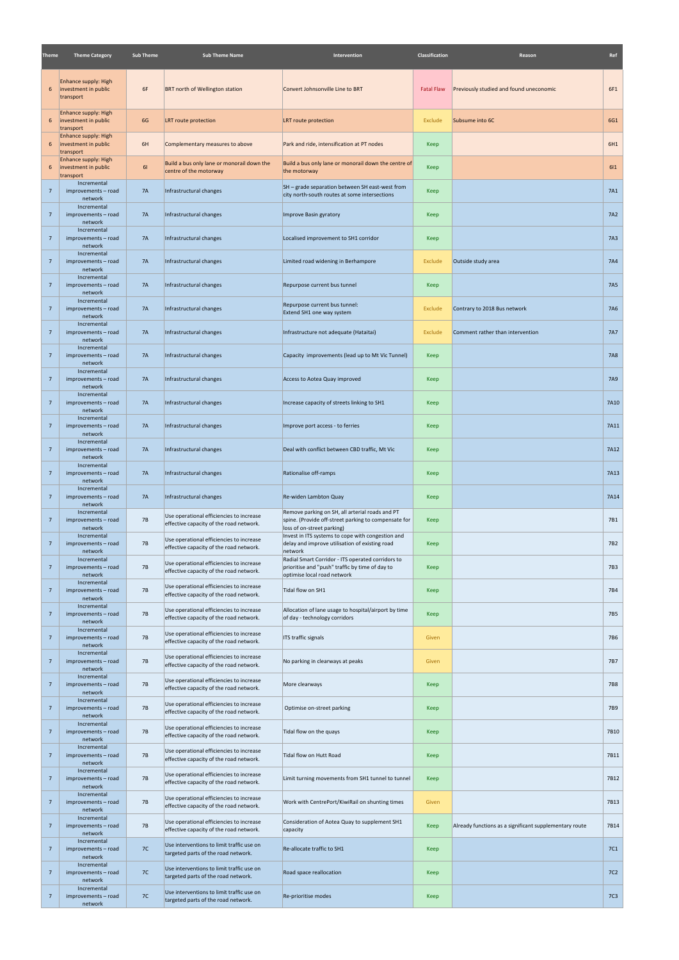| Theme           | <b>Theme Category</b>                                     | <b>Sub Theme</b> | <b>Sub Theme Name</b>                                                               | Intervention                                                                                                                          | Classification    | Reason                                                 | Ref             |
|-----------------|-----------------------------------------------------------|------------------|-------------------------------------------------------------------------------------|---------------------------------------------------------------------------------------------------------------------------------------|-------------------|--------------------------------------------------------|-----------------|
| 6               | Enhance supply: High<br>investment in public<br>transport | 6F               | <b>BRT north of Wellington station</b>                                              | Convert Johnsonville Line to BRT                                                                                                      | <b>Fatal Flaw</b> | Previously studied and found uneconomic                | 6F1             |
| 6               | Enhance supply: High<br>investment in public<br>transport | 6G               | LRT route protection                                                                | <b>LRT</b> route protection                                                                                                           | Exclude           | Subsume into 6C                                        | 6G1             |
| 6               | Enhance supply: High<br>investment in public<br>transport | 6H               | Complementary measures to above                                                     | Park and ride, intensification at PT nodes                                                                                            | Keep              |                                                        | 6H1             |
| 6               | Enhance supply: High<br>investment in public<br>transport | 61               | Build a bus only lane or monorail down the<br>centre of the motorway                | Build a bus only lane or monorail down the centre of<br>the motorway                                                                  | Keep              |                                                        | 611             |
| $\overline{7}$  | Incremental<br>improvements - road<br>network             | <b>7A</b>        | Infrastructural changes                                                             | SH - grade separation between SH east-west from<br>city north-south routes at some intersections                                      | Keep              |                                                        | 7A1             |
| $7\overline{ }$ | Incremental<br>improvements - road<br>network             | <b>7A</b>        | Infrastructural changes                                                             | Improve Basin gyratory                                                                                                                | Keep              |                                                        | <b>7A2</b>      |
| $\overline{7}$  | Incremental<br>improvements - road<br>network             | <b>7A</b>        | Infrastructural changes                                                             | Localised improvement to SH1 corridor                                                                                                 | Keep              |                                                        | <b>7A3</b>      |
| $7\overline{ }$ | Incremental<br>improvements - road<br>network             | <b>7A</b>        | Infrastructural changes                                                             | Limited road widening in Berhampore                                                                                                   | Exclude           | Outside study area                                     | <b>7A4</b>      |
| $\overline{7}$  | Incremental<br>improvements - road<br>network             | <b>7A</b>        | Infrastructural changes                                                             | Repurpose current bus tunnel                                                                                                          | Keep              |                                                        | <b>7A5</b>      |
| $7\overline{ }$ | Incremental<br>improvements - road<br>network             | 7A               | Infrastructural changes                                                             | Repurpose current bus tunnel:<br>Extend SH1 one way system                                                                            | Exclude           | Contrary to 2018 Bus network                           | <b>7A6</b>      |
| $7\overline{ }$ | Incremental<br>improvements - road<br>network             | <b>7A</b>        | Infrastructural changes                                                             | Infrastructure not adequate (Hataitai)                                                                                                | Exclude           | Comment rather than intervention                       | <b>7A7</b>      |
| $7\overline{ }$ | Incremental<br>improvements - road<br>network             | <b>7A</b>        | Infrastructural changes                                                             | Capacity improvements (lead up to Mt Vic Tunnel)                                                                                      | Keep              |                                                        | <b>7A8</b>      |
| $\overline{7}$  | Incremental<br>improvements - road<br>network             | <b>7A</b>        | Infrastructural changes                                                             | Access to Aotea Quay improved                                                                                                         | Keep              |                                                        | <b>7A9</b>      |
| $7\overline{ }$ | Incremental<br>improvements - road<br>network             | 7A               | Infrastructural changes                                                             | Increase capacity of streets linking to SH1                                                                                           | Keep              |                                                        | 7A10            |
| $\overline{7}$  | Incremental<br>improvements - road<br>network             | <b>7A</b>        | Infrastructural changes                                                             | Improve port access - to ferries                                                                                                      | Keep              |                                                        | 7A11            |
| $7\overline{ }$ | Incremental<br>improvements - road<br>network             | <b>7A</b>        | Infrastructural changes                                                             | Deal with conflict between CBD traffic, Mt Vic                                                                                        | Keep              |                                                        | 7A12            |
| $7\overline{ }$ | Incremental<br>improvements - road<br>network             | <b>7A</b>        | Infrastructural changes                                                             | Rationalise off-ramps                                                                                                                 | <b>Keep</b>       |                                                        | 7A13            |
| $\overline{7}$  | Incremental<br>improvements - road<br>network             | <b>7A</b>        | Infrastructural changes                                                             | Re-widen Lambton Quay                                                                                                                 | Keep              |                                                        | 7A14            |
| $7\overline{ }$ | Incremental<br>improvements - road<br>network             | 7B               | Use operational efficiencies to increase<br>effective capacity of the road network. | Remove parking on SH, all arterial roads and PT<br>spine. (Provide off-street parking to compensate for<br>loss of on-street parking) | Keep              |                                                        | 7B1             |
| $7\overline{ }$ | Incremental<br>improvements - road<br>network             | 7B               | Use operational efficiencies to increase<br>effective capacity of the road network. | Invest in ITS systems to cope with congestion and<br>delay and improve utilisation of existing road<br>network                        | Keep              |                                                        | 7B <sub>2</sub> |
| $7\overline{ }$ | Incremental<br>improvements - road<br>network             | <b>7B</b>        | Use operational efficiencies to increase<br>effective capacity of the road network. | Radial Smart Corridor - ITS operated corridors to<br>prioritise and "push" traffic by time of day to<br>optimise local road network   | <b>Keep</b>       |                                                        | 7B3             |
| $7\overline{ }$ | Incremental<br>improvements - road<br>network             | 7B               | Use operational efficiencies to increase<br>effective capacity of the road network. | Tidal flow on SH1                                                                                                                     | Keep              |                                                        | 7B4             |
| $7\overline{ }$ | Incremental<br>improvements - road<br>network             | <b>7B</b>        | Use operational efficiencies to increase<br>effective capacity of the road network. | Allocation of lane usage to hospital/airport by time<br>of day - technology corridors                                                 | Keep              |                                                        | 7B <sub>5</sub> |
| $7\overline{ }$ | Incremental<br>improvements - road<br>network             | 7B               | Use operational efficiencies to increase<br>effective capacity of the road network. | ITS traffic signals                                                                                                                   | Given             |                                                        | <b>7B6</b>      |
| $7\overline{ }$ | Incremental<br>improvements - road<br>network             | 7B               | Use operational efficiencies to increase<br>effective capacity of the road network. | No parking in clearways at peaks                                                                                                      | Given             |                                                        | 7B7             |
| $7\overline{ }$ | Incremental<br>improvements - road<br>network             | 7B               | Use operational efficiencies to increase<br>effective capacity of the road network. | More clearways                                                                                                                        | Keep              |                                                        | <b>7B8</b>      |
| $7\overline{ }$ | Incremental<br>improvements - road<br>network             | 7B               | Use operational efficiencies to increase<br>effective capacity of the road network. | Optimise on-street parking                                                                                                            | Keep              |                                                        | 7B9             |
| $7\overline{ }$ | Incremental<br>improvements - road<br>network             | 7B               | Use operational efficiencies to increase<br>effective capacity of the road network. | Tidal flow on the quays                                                                                                               | Keep              |                                                        | 7B10            |
| $\overline{7}$  | Incremental<br>improvements - road<br>network             | 7B               | Use operational efficiencies to increase<br>effective capacity of the road network. | Tidal flow on Hutt Road                                                                                                               | Keep              |                                                        | 7B11            |
| $\overline{7}$  | Incremental<br>improvements - road<br>network             | <b>7B</b>        | Use operational efficiencies to increase<br>effective capacity of the road network. | Limit turning movements from SH1 tunnel to tunnel                                                                                     | Keep              |                                                        | 7B12            |
| $7\overline{ }$ | Incremental<br>improvements - road<br>network             | 7B               | Use operational efficiencies to increase<br>effective capacity of the road network. | Work with CentrePort/KiwiRail on shunting times                                                                                       | Given             |                                                        | 7B13            |
| $\overline{7}$  | Incremental<br>improvements - road<br>network             | 7B               | Use operational efficiencies to increase<br>effective capacity of the road network. | Consideration of Aotea Quay to supplement SH1<br>capacity                                                                             | Keep              | Already functions as a significant supplementary route | 7B14            |
| $7\overline{ }$ | Incremental<br>improvements - road<br>network             | 7C               | Use interventions to limit traffic use on<br>targeted parts of the road network.    | Re-allocate traffic to SH1                                                                                                            | Keep              |                                                        | 7C <sub>1</sub> |
| $7\overline{ }$ | Incremental<br>improvements - road<br>network             | 7C               | Use interventions to limit traffic use on<br>targeted parts of the road network.    | Road space reallocation                                                                                                               | <b>Keep</b>       |                                                        | 7C <sub>2</sub> |
| $7\overline{ }$ | Incremental<br>improvements - road<br>network             | 7C               | Use interventions to limit traffic use on<br>targeted parts of the road network.    | Re-prioritise modes                                                                                                                   | Keep              |                                                        | 7C <sub>3</sub> |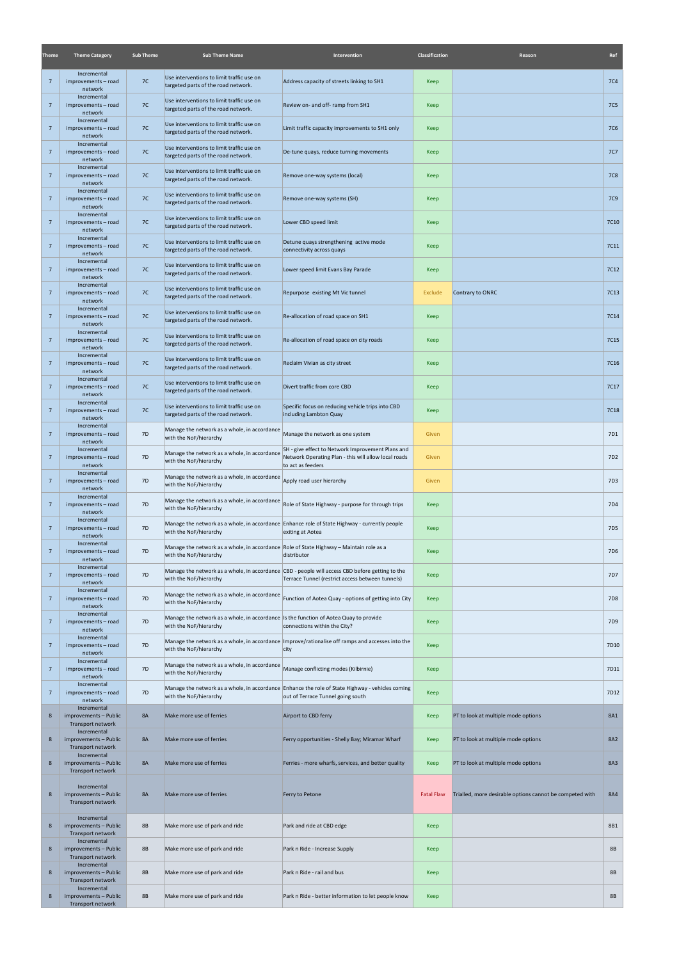| <b>Theme</b>    | <b>Theme Category</b>                                     | <b>Sub Theme</b> | <b>Sub Theme Name</b>                                                                                             | Intervention                                                                                                                                        | Classification    | Reason                                                   | Ref             |
|-----------------|-----------------------------------------------------------|------------------|-------------------------------------------------------------------------------------------------------------------|-----------------------------------------------------------------------------------------------------------------------------------------------------|-------------------|----------------------------------------------------------|-----------------|
| $\overline{7}$  | Incremental<br>improvements - road<br>network             | 7C               | Use interventions to limit traffic use on<br>targeted parts of the road network.                                  | Address capacity of streets linking to SH1                                                                                                          | Keep              |                                                          | <b>7C4</b>      |
| $\overline{7}$  | Incremental<br>improvements - road<br>network             | 7C               | Use interventions to limit traffic use on<br>targeted parts of the road network.                                  | Review on- and off- ramp from SH1                                                                                                                   | <b>Keep</b>       |                                                          | <b>7C5</b>      |
| $\overline{7}$  | Incremental<br>improvements - road<br>network             | 7C               | Use interventions to limit traffic use on<br>targeted parts of the road network.                                  | Limit traffic capacity improvements to SH1 only                                                                                                     | Keep              |                                                          | <b>7C6</b>      |
| $\overline{7}$  | Incremental<br>improvements - road<br>network             | 7C               | Use interventions to limit traffic use on<br>targeted parts of the road network.                                  | De-tune quays, reduce turning movements                                                                                                             | Keep              |                                                          | <b>7C7</b>      |
| $7\overline{ }$ | Incremental<br>improvements - road<br>network             | 7C               | Use interventions to limit traffic use on<br>targeted parts of the road network.                                  | Remove one-way systems (local)                                                                                                                      | Keep              |                                                          | <b>7C8</b>      |
| $\overline{7}$  | Incremental<br>improvements - road<br>network             | 7C               | Use interventions to limit traffic use on<br>targeted parts of the road network.                                  | Remove one-way systems (SH)                                                                                                                         | Keep              |                                                          | <b>7C9</b>      |
| $7\overline{ }$ | Incremental<br>improvements - road<br>network             | 7C               | Use interventions to limit traffic use on<br>targeted parts of the road network.                                  | Lower CBD speed limit                                                                                                                               | Keep              |                                                          | 7C10            |
| $7\overline{ }$ | Incremental<br>improvements - road<br>network             | 7C               | Use interventions to limit traffic use on<br>targeted parts of the road network.                                  | Detune quays strengthening active mode<br>connectivity across quays                                                                                 | Keep              |                                                          | 7C11            |
| $7\overline{ }$ | Incremental<br>improvements - road<br>network             | 7C               | Use interventions to limit traffic use on<br>targeted parts of the road network.                                  | Lower speed limit Evans Bay Parade                                                                                                                  | Keep              |                                                          | 7C12            |
| $7\overline{ }$ | Incremental<br>improvements - road<br>network             | 7C               | Use interventions to limit traffic use on<br>targeted parts of the road network.                                  | Repurpose existing Mt Vic tunnel                                                                                                                    | Exclude           | Contrary to ONRC                                         | 7C13            |
| $\overline{7}$  | Incremental<br>improvements - road<br>network             | 7C               | Use interventions to limit traffic use on<br>targeted parts of the road network.                                  | Re-allocation of road space on SH1                                                                                                                  | Keep              |                                                          | 7C14            |
| $\overline{7}$  | Incremental<br>improvements - road<br>network             | 7C               | Use interventions to limit traffic use on<br>targeted parts of the road network.                                  | Re-allocation of road space on city roads                                                                                                           | Keep              |                                                          | 7C15            |
| $\overline{7}$  | Incremental<br>improvements - road<br>network             | 7C               | Use interventions to limit traffic use on<br>targeted parts of the road network.                                  | Reclaim Vivian as city street                                                                                                                       | Keep              |                                                          | 7C16            |
| $\overline{7}$  | Incremental<br>improvements - road<br>network             | 7C               | Use interventions to limit traffic use on<br>targeted parts of the road network.                                  | Divert traffic from core CBD                                                                                                                        | Keep              |                                                          | 7C17            |
| -7              | Incremental<br>improvements - road<br>network             | 7C               | Use interventions to limit traffic use on<br>targeted parts of the road network.                                  | Specific focus on reducing vehicle trips into CBD<br>including Lambton Quay                                                                         | Keep              |                                                          | <b>7C18</b>     |
| $\overline{7}$  | Incremental<br>improvements - road<br>network             | 7D               | Manage the network as a whole, in accordance<br>with the NoF/hierarchy                                            | Manage the network as one system                                                                                                                    | Given             |                                                          | 7D1             |
| $7\overline{ }$ | Incremental<br>improvements - road<br>network             | 7D               | Manage the network as a whole, in accordance<br>with the NoF/hierarchy                                            | SH - give effect to Network Improvement Plans and<br>Network Operating Plan - this will allow local roads<br>to act as feeders                      | Given             |                                                          | 7D <sub>2</sub> |
| $\overline{7}$  | Incremental<br>improvements - road<br>network             | 7D               | Manage the network as a whole, in accordance<br>with the NoF/hierarchy                                            | Apply road user hierarchy                                                                                                                           | Given             |                                                          | 7D3             |
| $\overline{7}$  | Incremental<br>improvements - road<br>network             | 7D               | Manage the network as a whole, in accordance<br>with the NoF/hierarchy                                            | Role of State Highway - purpose for through trips                                                                                                   | Keep              |                                                          | 7D4             |
| $7\overline{ }$ | Incremental<br>improvements - road<br>network             | 7 <sub>D</sub>   | with the NoF/hierarchy                                                                                            | Manage the network as a whole, in accordance Enhance role of State Highway - currently people<br>exiting at Aotea                                   | Keep              |                                                          | 7D <sub>5</sub> |
| $7\overline{ }$ | Incremental<br>improvements - road<br>network             | 7 <sub>D</sub>   | Manage the network as a whole, in accordance Role of State Highway – Maintain role as a<br>with the NoF/hierarchy | distributor                                                                                                                                         | Keep              |                                                          | 7D <sub>6</sub> |
| $7\overline{ }$ | Incremental<br>improvements - road<br>network             | 7D               | with the NoF/hierarchy                                                                                            | Manage the network as a whole, in accordance CBD - people will access CBD before getting to the<br>Terrace Tunnel (restrict access between tunnels) | Keep              |                                                          | 7D7             |
| $\overline{7}$  | Incremental<br>improvements - road<br>network             | 7D               | Manage the network as a whole, in accordance<br>with the NoF/hierarchy                                            | Function of Aotea Quay - options of getting into City                                                                                               | Keep              |                                                          | <b>7D8</b>      |
| $\overline{7}$  | Incremental<br>improvements - road<br>network             | 7D               | Manage the network as a whole, in accordance Is the function of Aotea Quay to provide<br>with the NoF/hierarchy   | connections within the City?                                                                                                                        | Keep              |                                                          | 7D9             |
| $\overline{7}$  | Incremental<br>improvements - road<br>network             | 7D               | with the NoF/hierarchy                                                                                            | Manage the network as a whole, in accordance   Improve/rationalise off ramps and accesses into the<br>city                                          | <b>Keep</b>       |                                                          | 7D10            |
| $\overline{7}$  | Incremental<br>improvements - road<br>network             | 7D               | Manage the network as a whole, in accordance<br>with the NoF/hierarchy                                            | Manage conflicting modes (Kilbirnie)                                                                                                                | Keep              |                                                          | 7D11            |
| $\overline{7}$  | Incremental<br>improvements - road<br>network             | 7D               | with the NoF/hierarchy                                                                                            | Manage the network as a whole, in accordance Enhance the role of State Highway - vehicles coming<br>out of Terrace Tunnel going south               | Keep              |                                                          | 7D12            |
| 8               | Incremental<br>improvements - Public<br>Transport network | <b>8A</b>        | Make more use of ferries                                                                                          | Airport to CBD ferry                                                                                                                                | Keep              | PT to look at multiple mode options                      | <b>8A1</b>      |
| 8               | Incremental<br>improvements - Public<br>Transport network | <b>8A</b>        | Make more use of ferries                                                                                          | Ferry opportunities - Shelly Bay; Miramar Wharf                                                                                                     | Keep              | PT to look at multiple mode options                      | <b>8A2</b>      |
| 8               | Incremental<br>improvements - Public<br>Transport network | <b>8A</b>        | Make more use of ferries                                                                                          | Ferries - more wharfs, services, and better quality                                                                                                 | Keep              | PT to look at multiple mode options                      | 8A3             |
| 8               | Incremental<br>improvements - Public<br>Transport network | <b>8A</b>        | Make more use of ferries                                                                                          | Ferry to Petone                                                                                                                                     | <b>Fatal Flaw</b> | Trialled, more desirable options cannot be competed with | <b>8A4</b>      |
| 8               | Incremental<br>improvements - Public<br>Transport network | <b>8B</b>        | Make more use of park and ride                                                                                    | Park and ride at CBD edge                                                                                                                           | <b>Keep</b>       |                                                          | 8B1             |
| 8               | Incremental<br>improvements - Public<br>Transport network | <b>8B</b>        | Make more use of park and ride                                                                                    | Park n Ride - Increase Supply                                                                                                                       | Keep              |                                                          | <b>8B</b>       |
| 8               | Incremental<br>improvements - Public<br>Transport network | <b>8B</b>        | Make more use of park and ride                                                                                    | Park n Ride - rail and bus                                                                                                                          | Keep              |                                                          | <b>8B</b>       |
| 8               | Incremental<br>improvements - Public<br>Transport network | <b>8B</b>        | Make more use of park and ride                                                                                    | Park n Ride - better information to let people know                                                                                                 | <b>Keep</b>       |                                                          | 8B              |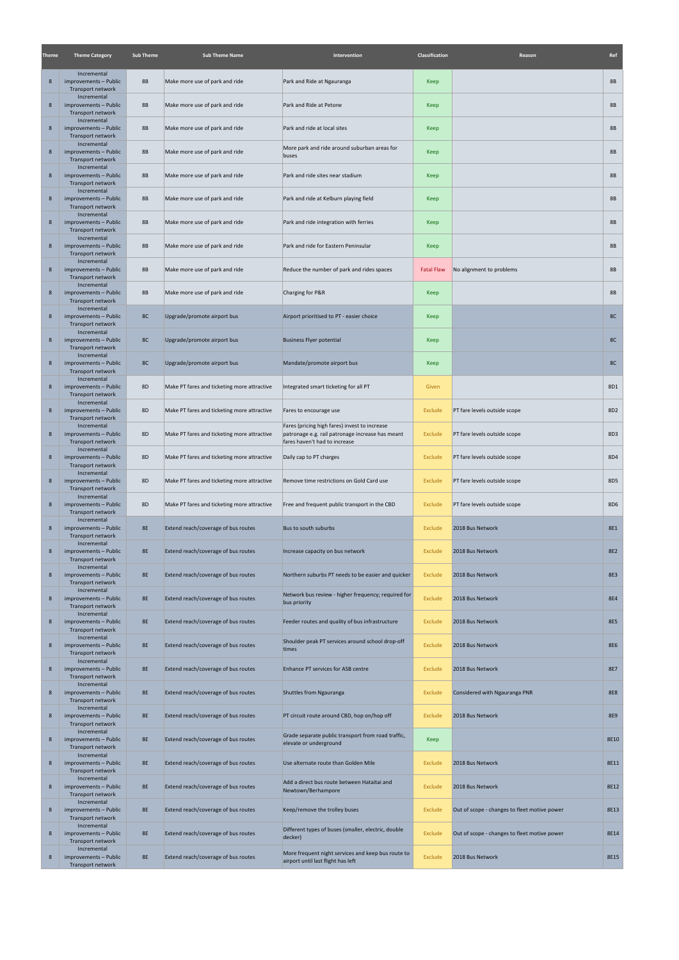| Theme          | <b>Theme Category</b>                                     | <b>Sub Theme</b> | <b>Sub Theme Name</b>                       | Intervention                                                                                                                       | Classification    | Reason                                       | Ref             |
|----------------|-----------------------------------------------------------|------------------|---------------------------------------------|------------------------------------------------------------------------------------------------------------------------------------|-------------------|----------------------------------------------|-----------------|
| $8\phantom{1}$ | Incremental<br>improvements - Public<br>Transport network | <b>8B</b>        | Make more use of park and ride              | Park and Ride at Ngauranga                                                                                                         | Keep              |                                              | <b>8B</b>       |
| 8              | Incremental<br>improvements - Public<br>Transport network | <b>8B</b>        | Make more use of park and ride              | Park and Ride at Petone                                                                                                            | Keep              |                                              | <b>8B</b>       |
| $8\phantom{1}$ | Incremental<br>improvements - Public<br>Transport network | <b>8B</b>        | Make more use of park and ride              | Park and ride at local sites                                                                                                       | Keep              |                                              | <b>8B</b>       |
| $8\phantom{1}$ | Incremental<br>improvements - Public<br>Transport network | <b>8B</b>        | Make more use of park and ride              | More park and ride around suburban areas for<br>buses                                                                              | Keep              |                                              | <b>8B</b>       |
| $8\phantom{1}$ | Incremental<br>improvements - Public<br>Transport network | <b>8B</b>        | Make more use of park and ride              | Park and ride sites near stadium                                                                                                   | Keep              |                                              | <b>8B</b>       |
| $8\phantom{1}$ | Incremental<br>improvements - Public<br>Transport network | <b>8B</b>        | Make more use of park and ride              | Park and ride at Kelburn playing field                                                                                             | Keep              |                                              | <b>8B</b>       |
| 8              | Incremental<br>improvements - Public<br>Transport network | <b>8B</b>        | Make more use of park and ride              | Park and ride integration with ferries                                                                                             | Keep              |                                              | <b>8B</b>       |
| $8\phantom{1}$ | Incremental<br>improvements - Public<br>Transport network | <b>8B</b>        | Make more use of park and ride              | Park and ride for Eastern Peninsular                                                                                               | Keep              |                                              | <b>8B</b>       |
| 8              | Incremental<br>improvements - Public<br>Transport network | <b>8B</b>        | Make more use of park and ride              | Reduce the number of park and rides spaces                                                                                         | <b>Fatal Flaw</b> | No alignment to problems                     | <b>8B</b>       |
| $8\phantom{1}$ | Incremental<br>improvements - Public<br>Transport network | <b>8B</b>        | Make more use of park and ride              | Charging for P&R                                                                                                                   | Keep              |                                              | <b>8B</b>       |
| $8\phantom{1}$ | Incremental<br>improvements - Public<br>Transport network | 8C               | Upgrade/promote airport bus                 | Airport prioritised to PT - easier choice                                                                                          | Keep              |                                              | 8C              |
| $8\phantom{1}$ | Incremental<br>improvements - Public<br>Transport network | 8C               | Upgrade/promote airport bus                 | <b>Business Flyer potential</b>                                                                                                    | Keep              |                                              | 8C              |
| $8\phantom{1}$ | Incremental<br>improvements - Public<br>Transport network | 8C               | Upgrade/promote airport bus                 | Mandate/promote airport bus                                                                                                        | Keep              |                                              | 8C              |
| $8\phantom{1}$ | Incremental<br>improvements - Public<br>Transport network | <b>8D</b>        | Make PT fares and ticketing more attractive | Integrated smart ticketing for all PT                                                                                              | Given             |                                              | 8D1             |
| 8              | Incremental<br>improvements - Public<br>Transport network | 8D               | Make PT fares and ticketing more attractive | Fares to encourage use                                                                                                             | Exclude           | PT fare levels outside scope                 | 8D <sub>2</sub> |
| $8\phantom{1}$ | Incremental<br>improvements - Public<br>Transport network | 8D               | Make PT fares and ticketing more attractive | Fares (pricing high fares) invest to increase<br>patronage e.g. rail patronage increase has meant<br>fares haven't had to increase | Exclude           | PT fare levels outside scope                 | 8D3             |
| $8\phantom{1}$ | Incremental<br>improvements - Public<br>Transport network | 8D               | Make PT fares and ticketing more attractive | Daily cap to PT charges                                                                                                            | Exclude           | PT fare levels outside scope                 | 8D4             |
| $8\phantom{1}$ | Incremental<br>improvements - Public<br>Transport network | 8D               | Make PT fares and ticketing more attractive | Remove time restrictions on Gold Card use                                                                                          | Exclude           | PT fare levels outside scope                 | 8D <sub>5</sub> |
| $8\phantom{1}$ | Incremental<br>improvements - Public<br>Transport network | 8D               | Make PT fares and ticketing more attractive | Free and frequent public transport in the CBD                                                                                      | Exclude           | PT fare levels outside scope                 | 8D6             |
| $8\phantom{1}$ | Incremental<br>improvements - Public<br>Transport network | <b>8E</b>        | Extend reach/coverage of bus routes         | Bus to south suburbs                                                                                                               | Exclude           | 2018 Bus Network                             | <b>8E1</b>      |
| $8\phantom{1}$ | Incremental<br>improvements - Public<br>Transport network | <b>8E</b>        | Extend reach/coverage of bus routes         | Increase capacity on bus network                                                                                                   | Exclude           | 2018 Bus Network                             | <b>8E2</b>      |
| $8\phantom{1}$ | Incremental<br>improvements - Public<br>Transport network | <b>8E</b>        | Extend reach/coverage of bus routes         | Northern suburbs PT needs to be easier and quicker                                                                                 | Exclude           | 2018 Bus Network                             | <b>8E3</b>      |
| $8\phantom{1}$ | Incremental<br>improvements - Public<br>Transport network | <b>8E</b>        | Extend reach/coverage of bus routes         | Network bus review - higher frequency; required for<br>bus priority                                                                | Exclude           | 2018 Bus Network                             | <b>8E4</b>      |
| $\bf 8$        | Incremental<br>improvements - Public<br>Transport network | <b>8E</b>        | Extend reach/coverage of bus routes         | Feeder routes and quality of bus infrastructure                                                                                    | Exclude           | 2018 Bus Network                             | <b>8E5</b>      |
| $8\phantom{1}$ | Incremental<br>improvements - Public<br>Transport network | <b>8E</b>        | Extend reach/coverage of bus routes         | Shoulder peak PT services around school drop-off<br>times                                                                          | Exclude           | 2018 Bus Network                             | <b>8E6</b>      |
| $8\phantom{1}$ | Incremental<br>improvements - Public<br>Transport network | <b>8E</b>        | Extend reach/coverage of bus routes         | Enhance PT services for ASB centre                                                                                                 | Exclude           | 2018 Bus Network                             | <b>8E7</b>      |
| $8\phantom{1}$ | Incremental<br>improvements - Public<br>Transport network | <b>8E</b>        | Extend reach/coverage of bus routes         | Shuttles from Ngauranga                                                                                                            | Exclude           | Considered with Ngauranga PNR                | <b>8E8</b>      |
| $8\phantom{1}$ | Incremental<br>improvements - Public<br>Transport network | <b>8E</b>        | Extend reach/coverage of bus routes         | PT circuit route around CBD, hop on/hop off                                                                                        | Exclude           | 2018 Bus Network                             | <b>8E9</b>      |
| $8\phantom{1}$ | Incremental<br>improvements - Public<br>Transport network | <b>8E</b>        | Extend reach/coverage of bus routes         | Grade separate public transport from road traffic,<br>elevate or underground                                                       | Keep              |                                              | 8E10            |
| $8\phantom{1}$ | Incremental<br>improvements - Public<br>Transport network | <b>8E</b>        | Extend reach/coverage of bus routes         | Use alternate route than Golden Mile                                                                                               | Exclude           | 2018 Bus Network                             | 8E11            |
| $8\phantom{1}$ | Incremental<br>improvements - Public<br>Transport network | 8E               | Extend reach/coverage of bus routes         | Add a direct bus route between Hataitai and<br>Newtown/Berhampore                                                                  | Exclude           | 2018 Bus Network                             | 8E12            |
| $8\phantom{1}$ | Incremental<br>improvements - Public<br>Transport network | <b>8E</b>        | Extend reach/coverage of bus routes         | Keep/remove the trolley buses                                                                                                      | Exclude           | Out of scope - changes to fleet motive power | 8E13            |
| $8\phantom{1}$ | Incremental<br>improvements - Public<br>Transport network | <b>8E</b>        | Extend reach/coverage of bus routes         | Different types of buses (smaller, electric, double<br>decker)                                                                     | Exclude           | Out of scope - changes to fleet motive power | 8E14            |
| $8\phantom{1}$ | Incremental<br>improvements - Public<br>Transport network | <b>8E</b>        | Extend reach/coverage of bus routes         | More frequent night services and keep bus route to<br>airport until last flight has left                                           | Exclude           | 2018 Bus Network                             | 8E15            |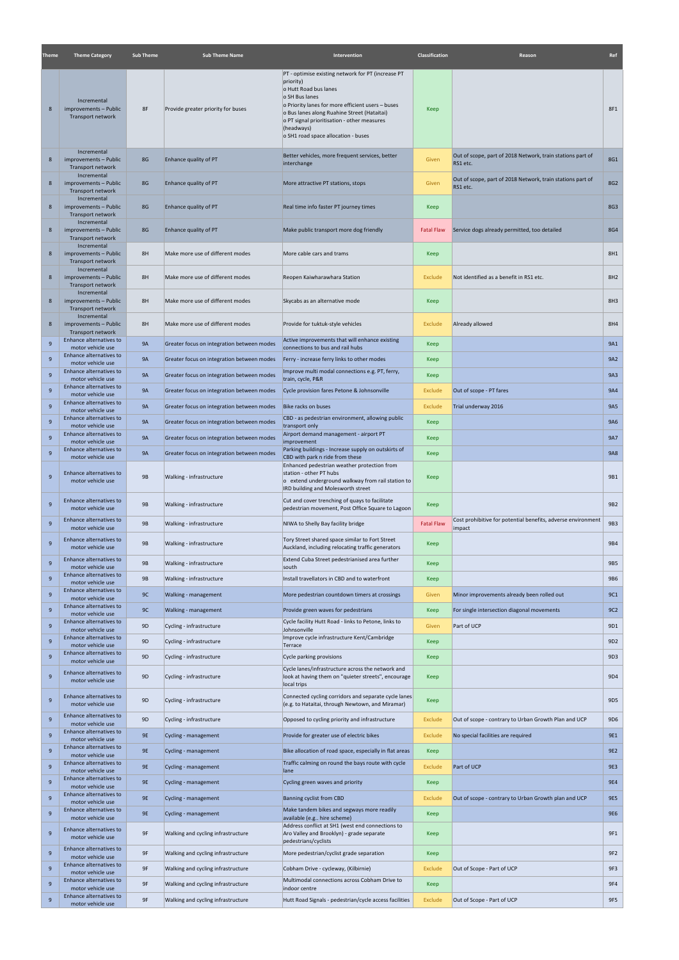| <b>Theme</b> | <b>Theme Category</b>                                     | <b>Sub Theme</b> | <b>Sub Theme Name</b>                      | Intervention                                                                                                                                                      | Classification    | Reason                                                                 | Ref             |
|--------------|-----------------------------------------------------------|------------------|--------------------------------------------|-------------------------------------------------------------------------------------------------------------------------------------------------------------------|-------------------|------------------------------------------------------------------------|-----------------|
|              |                                                           |                  |                                            | PT - optimise existing network for PT (increase PT                                                                                                                |                   |                                                                        |                 |
|              |                                                           |                  |                                            | priority)<br>o Hutt Road bus lanes                                                                                                                                |                   |                                                                        |                 |
|              | Incremental                                               |                  |                                            | o SH Bus lanes<br>o Priority lanes for more efficient users - buses                                                                                               |                   |                                                                        |                 |
| 8            | improvements - Public<br>Transport network                | 8F               | Provide greater priority for buses         | o Bus lanes along Ruahine Street (Hataitai)<br>o PT signal prioritisation - other measures                                                                        | Keep              |                                                                        | 8F1             |
|              |                                                           |                  |                                            | (headways)<br>o SH1 road space allocation - buses                                                                                                                 |                   |                                                                        |                 |
|              | Incremental                                               |                  |                                            |                                                                                                                                                                   |                   |                                                                        |                 |
| 8            | improvements - Public<br>Transport network                | 8G               | Enhance quality of PT                      | Better vehicles, more frequent services, better<br>interchange                                                                                                    | Given             | Out of scope, part of 2018 Network, train stations part of<br>RS1 etc. | 8G1             |
| 8            | Incremental<br>improvements - Public                      | 8G               | Enhance quality of PT                      | More attractive PT stations, stops                                                                                                                                | Given             | Out of scope, part of 2018 Network, train stations part of             | 8G2             |
|              | Transport network<br>Incremental                          |                  |                                            |                                                                                                                                                                   |                   | RS1 etc.                                                               |                 |
| 8            | improvements - Public<br>Transport network<br>Incremental | 8G               | Enhance quality of PT                      | Real time info faster PT journey times                                                                                                                            | Keep              |                                                                        | 8G3             |
| 8            | improvements - Public<br>Transport network                | 8G               | Enhance quality of PT                      | Make public transport more dog friendly                                                                                                                           | <b>Fatal Flaw</b> | Service dogs already permitted, too detailed                           | 8G4             |
| 8            | Incremental<br>improvements - Public<br>Transport network | 8H               | Make more use of different modes           | More cable cars and trams                                                                                                                                         | Keep              |                                                                        | 8H1             |
| 8            | Incremental<br>improvements - Public<br>Transport network | 8H               | Make more use of different modes           | Reopen Kaiwharawhara Station                                                                                                                                      | Exclude           | Not identified as a benefit in RS1 etc.                                | 8H <sub>2</sub> |
| 8            | Incremental<br>improvements - Public                      | 8H               | Make more use of different modes           | Skycabs as an alternative mode                                                                                                                                    | Keep              |                                                                        | 8H <sub>3</sub> |
|              | Transport network<br>Incremental                          |                  |                                            |                                                                                                                                                                   |                   |                                                                        |                 |
| 8            | improvements - Public<br>Transport network                | 8H               | Make more use of different modes           | Provide for tuktuk-style vehicles                                                                                                                                 | Exclude           | Already allowed                                                        | 8H4             |
| 9            | Enhance alternatives to<br>motor vehicle use              | <b>9A</b>        | Greater focus on integration between modes | Active improvements that will enhance existing<br>connections to bus and rail hubs                                                                                | Keep              |                                                                        | 9A1             |
| 9            | Enhance alternatives to<br>motor vehicle use              | <b>9A</b>        | Greater focus on integration between modes | Ferry - increase ferry links to other modes                                                                                                                       | Keep              |                                                                        | 9A2             |
| 9            | Enhance alternatives to<br>motor vehicle use              | <b>9A</b>        | Greater focus on integration between modes | Improve multi modal connections e.g. PT, ferry,<br>train, cycle, P&R                                                                                              | Keep              |                                                                        | <b>9A3</b>      |
| $9$          | Enhance alternatives to<br>motor vehicle use              | <b>9A</b>        | Greater focus on integration between modes | Cycle provision fares Petone & Johnsonville                                                                                                                       | Exclude           | Out of scope - PT fares                                                | <b>9A4</b>      |
| 9            | Enhance alternatives to<br>motor vehicle use              | <b>9A</b>        | Greater focus on integration between modes | Bike racks on buses                                                                                                                                               | Exclude           | Trial underway 2016                                                    | <b>9A5</b>      |
| 9            | Enhance alternatives to<br>motor vehicle use              | <b>9A</b>        | Greater focus on integration between modes | CBD - as pedestrian environment, allowing public<br>transport only                                                                                                | Keep              |                                                                        | 9A6             |
| 9            | Enhance alternatives to<br>motor vehicle use              | <b>9A</b>        | Greater focus on integration between modes | Airport demand management - airport PT<br>improvement                                                                                                             | Keep              |                                                                        | <b>9A7</b>      |
| 9            | Enhance alternatives to<br>motor vehicle use              | <b>9A</b>        | Greater focus on integration between modes | Parking buildings - Increase supply on outskirts of<br>CBD with park n ride from these                                                                            | Keep              |                                                                        | <b>9A8</b>      |
| 9            | Enhance alternatives to<br>motor vehicle use              | <b>9B</b>        | Walking - infrastructure                   | Enhanced pedestrian weather protection from<br>station - other PT hubs<br>o extend underground walkway from rail station to<br>IRD building and Molesworth street | Keep              |                                                                        | 9B1             |
| 9            | Enhance alternatives to<br>motor vehicle use              | 9B               | Walking - infrastructure                   | Cut and cover trenching of quays to facilitate<br>pedestrian movement, Post Office Square to Lagoon                                                               | Keep              |                                                                        | 9B <sub>2</sub> |
| 9            | Enhance alternatives to<br>motor vehicle use              | 9B               | Walking - infrastructure                   | NIWA to Shelly Bay facility bridge                                                                                                                                | <b>Fatal Flaw</b> | Cost prohibitive for potential benefits, adverse environment<br>impact | 9B3             |
| 9            | Enhance alternatives to<br>motor vehicle use              | 9B               | Walking - infrastructure                   | Tory Street shared space similar to Fort Street<br>Auckland, including relocating traffic generators                                                              | Keep              |                                                                        | <b>9B4</b>      |
| 9            | Enhance alternatives to<br>motor vehicle use              | <b>9B</b>        | Walking - infrastructure                   | Extend Cuba Street pedestrianised area further<br>south                                                                                                           | Keep              |                                                                        | <b>9B5</b>      |
| 9            | Enhance alternatives to<br>motor vehicle use              | <b>9B</b>        | Walking - infrastructure                   | Install travellators in CBD and to waterfront                                                                                                                     | Keep              |                                                                        | <b>9B6</b>      |
| 9            | Enhance alternatives to<br>motor vehicle use              | 9C               | Walking - management                       | More pedestrian countdown timers at crossings                                                                                                                     | Given             | Minor improvements already been rolled out                             | <b>9C1</b>      |
| 9            | Enhance alternatives to<br>motor vehicle use              | 9C               | Walking - management                       | Provide green waves for pedestrians                                                                                                                               | Keep              | For single intersection diagonal movements                             | 9C2             |
| 9            | Enhance alternatives to<br>motor vehicle use              | 9 <sub>D</sub>   | Cycling - infrastructure                   | Cycle facility Hutt Road - links to Petone, links to<br>Johnsonville                                                                                              | Given             | Part of UCP                                                            | 9D1             |
| 9            | Enhance alternatives to<br>motor vehicle use              | 9 <sub>D</sub>   | Cycling - infrastructure                   | Improve cycle infrastructure Kent/Cambridge<br>Terrace                                                                                                            | Keep              |                                                                        | 9D <sub>2</sub> |
| $9$          | Enhance alternatives to<br>motor vehicle use              | 9 <sub>D</sub>   | Cycling - infrastructure                   | Cycle parking provisions                                                                                                                                          | Keep              |                                                                        | 9D3             |
| 9            | Enhance alternatives to<br>motor vehicle use              | 9D               | Cycling - infrastructure                   | Cycle lanes/infrastructure across the network and<br>look at having them on "quieter streets", encourage<br>local trips                                           | Keep              |                                                                        | 9D4             |
| 9            | Enhance alternatives to<br>motor vehicle use              | 9 <sub>D</sub>   | Cycling - infrastructure                   | Connected cycling corridors and separate cycle lanes<br>(e.g. to Hataitai, through Newtown, and Miramar)                                                          | Keep              |                                                                        | 9D <sub>5</sub> |
| $9$          | Enhance alternatives to<br>motor vehicle use              | 9 <sub>D</sub>   | Cycling - infrastructure                   | Opposed to cycling priority and infrastructure                                                                                                                    | Exclude           | Out of scope - contrary to Urban Growth Plan and UCP                   | 9D <sub>6</sub> |
| 9            | Enhance alternatives to<br>motor vehicle use              | 9E               | Cycling - management                       | Provide for greater use of electric bikes                                                                                                                         | <b>Exclude</b>    | No special facilities are required                                     | <b>9E1</b>      |
| 9            | Enhance alternatives to<br>motor vehicle use              | 9E               | Cycling - management                       | Bike allocation of road space, especially in flat areas                                                                                                           | Keep              |                                                                        | 9E <sub>2</sub> |
| 9            | Enhance alternatives to<br>motor vehicle use              | <b>9E</b>        | Cycling - management                       | Traffic calming on round the bays route with cycle<br>lane                                                                                                        | Exclude           | Part of UCP                                                            | <b>9E3</b>      |
| $9\,$        | Enhance alternatives to<br>motor vehicle use              | 9E               | Cycling - management                       | Cycling green waves and priority                                                                                                                                  | Keep              |                                                                        | 9E4             |
| $9\,$        | Enhance alternatives to<br>motor vehicle use              | 9E               | Cycling - management                       | Banning cyclist from CBD                                                                                                                                          | Exclude           | Out of scope - contrary to Urban Growth plan and UCP                   | <b>9E5</b>      |
| 9            | Enhance alternatives to<br>motor vehicle use              | 9E               | Cycling - management                       | Make tandem bikes and segways more readily<br>available (e.g hire scheme)                                                                                         | Keep              |                                                                        | <b>9E6</b>      |
| 9            | Enhance alternatives to<br>motor vehicle use              | 9F               | Walking and cycling infrastructure         | Address conflict at SH1 (west end connections to<br>Aro Valley and Brooklyn) - grade separate<br>pedestrians/cyclists                                             | Keep              |                                                                        | 9F1             |
| 9            | Enhance alternatives to<br>motor vehicle use              | 9F               | Walking and cycling infrastructure         | More pedestrian/cyclist grade separation                                                                                                                          | Keep              |                                                                        | 9F2             |
| 9            | Enhance alternatives to<br>motor vehicle use              | 9F               | Walking and cycling infrastructure         | Cobham Drive - cycleway, (Kilbirnie)                                                                                                                              | Exclude           | Out of Scope - Part of UCP                                             | 9F3             |
| 9            | Enhance alternatives to<br>motor vehicle use              | 9F               | Walking and cycling infrastructure         | Multimodal connections across Cobham Drive to<br>indoor centre                                                                                                    | Keep              |                                                                        | 9F4             |
| 9            | Enhance alternatives to<br>motor vehicle use              | 9F               | Walking and cycling infrastructure         | Hutt Road Signals - pedestrian/cycle access facilities                                                                                                            | Exclude           | Out of Scope - Part of UCP                                             | 9F5             |